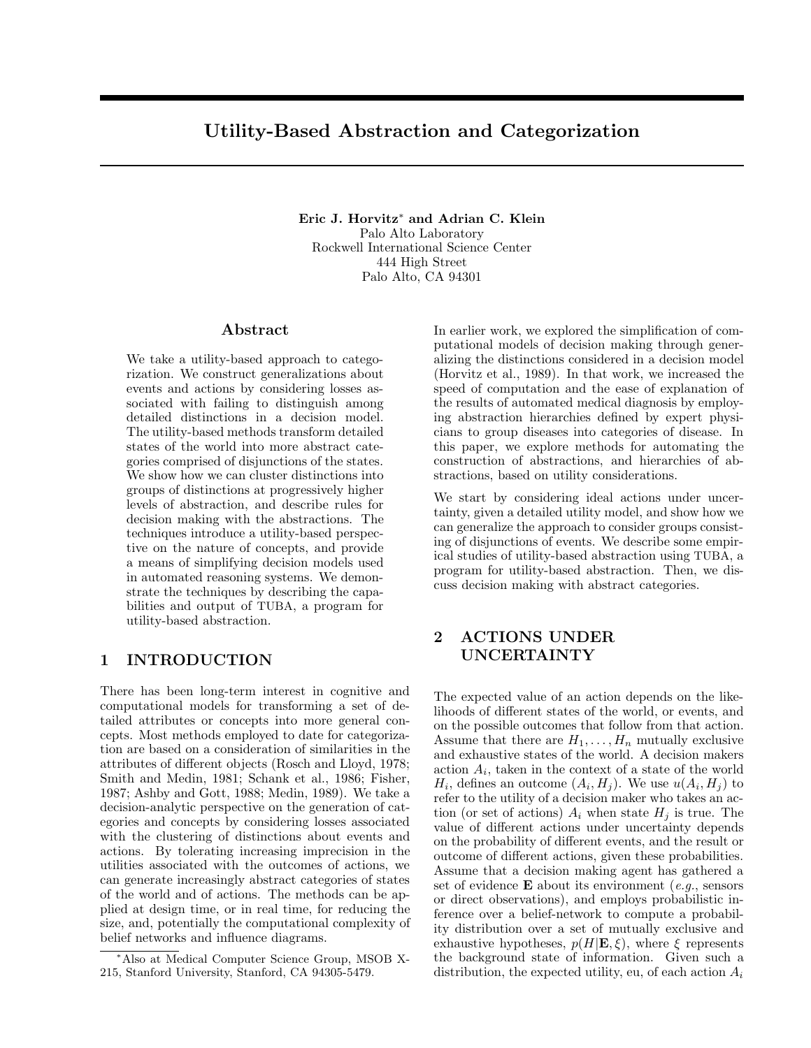# **Utility-Based Abstraction and Categorization**

**Eric J. Horvitz**<sup>∗</sup> **and Adrian C. Klein** Palo Alto Laboratory Rockwell International Science Center 444 High Street Palo Alto, CA 94301

### **Abstract**

We take a utility-based approach to categorization. We construct generalizations about events and actions by considering losses associated with failing to distinguish among detailed distinctions in a decision model. The utility-based methods transform detailed states of the world into more abstract categories comprised of disjunctions of the states. We show how we can cluster distinctions into groups of distinctions at progressively higher levels of abstraction, and describe rules for decision making with the abstractions. The techniques introduce a utility-based perspective on the nature of concepts, and provide a means of simplifying decision models used in automated reasoning systems. We demonstrate the techniques by describing the capabilities and output of TUBA, a program for utility-based abstraction.

### **1 INTRODUCTION**

There has been long-term interest in cognitive and computational models for transforming a set of detailed attributes or concepts into more general concepts. Most methods employed to date for categorization are based on a consideration of similarities in the attributes of different objects (Rosch and Lloyd, 1978; Smith and Medin, 1981; Schank et al., 1986; Fisher, 1987; Ashby and Gott, 1988; Medin, 1989). We take a decision-analytic perspective on the generation of categories and concepts by considering losses associated with the clustering of distinctions about events and actions. By tolerating increasing imprecision in the utilities associated with the outcomes of actions, we can generate increasingly abstract categories of states of the world and of actions. The methods can be applied at design time, or in real time, for reducing the size, and, potentially the computational complexity of belief networks and influence diagrams.

In earlier work, we explored the simplification of computational models of decision making through generalizing the distinctions considered in a decision model (Horvitz et al., 1989). In that work, we increased the speed of computation and the ease of explanation of the results of automated medical diagnosis by employing abstraction hierarchies defined by expert physicians to group diseases into categories of disease. In this paper, we explore methods for automating the construction of abstractions, and hierarchies of abstractions, based on utility considerations.

We start by considering ideal actions under uncertainty, given a detailed utility model, and show how we can generalize the approach to consider groups consisting of disjunctions of events. We describe some empirical studies of utility-based abstraction using TUBA, a program for utility-based abstraction. Then, we discuss decision making with abstract categories.

# **2 ACTIONS UNDER UNCERTAINTY**

The expected value of an action depends on the likelihoods of different states of the world, or events, and on the possible outcomes that follow from that action. Assume that there are  $H_1, \ldots, H_n$  mutually exclusive and exhaustive states of the world. A decision makers action  $A_i$ , taken in the context of a state of the world  $H_i$ , defines an outcome  $(A_i, H_j)$ . We use  $u(A_i, H_j)$  to refer to the utility of a decision maker who takes an action (or set of actions)  $A_i$  when state  $H_i$  is true. The value of different actions under uncertainty depends on the probability of different events, and the result or outcome of different actions, given these probabilities. Assume that a decision making agent has gathered a set of evidence **E** about its environment (e.g., sensors or direct observations), and employs probabilistic inference over a belief-network to compute a probability distribution over a set of mutually exclusive and exhaustive hypotheses,  $p(H|\mathbf{E}, \xi)$ , where  $\xi$  represents the background state of information. Given such a distribution, the expected utility, eu, of each action  $A_i$ 

<sup>∗</sup>Also at Medical Computer Science Group, MSOB X-215, Stanford University, Stanford, CA 94305-5479.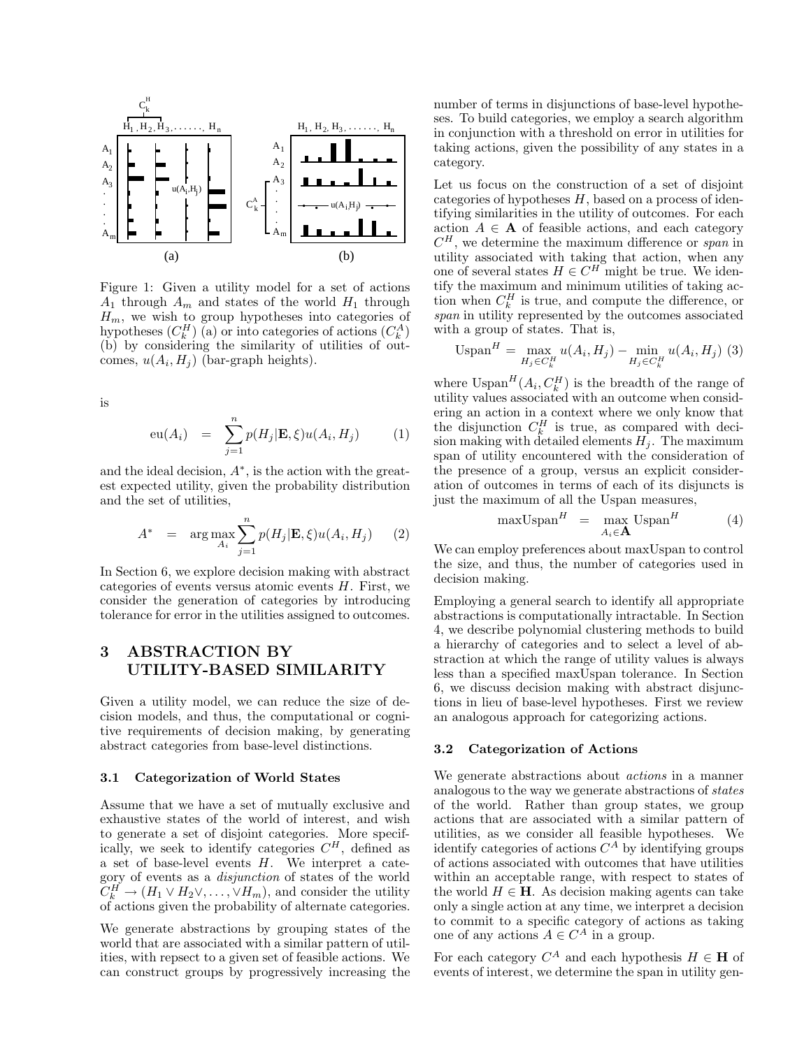

Figure 1: Given a utility model for a set of actions  $A_1$  through  $A_m$  and states of the world  $H_1$  through  $H_m$ , we wish to group hypotheses into categories of hypotheses  $(C_k^H)$  (a) or into categories of actions  $(C_k^A)$ (b) by considering the similarity of utilities of outcomes,  $u(A_i, H_j)$  (bar-graph heights).

is

$$
\mathrm{eu}(A_i) = \sum_{j=1}^n p(H_j | \mathbf{E}, \xi) u(A_i, H_j) \tag{1}
$$

and the ideal decision,  $A^*$ , is the action with the greatest expected utility, given the probability distribution and the set of utilities,

$$
A^* = \arg \max_{A_i} \sum_{j=1}^n p(H_j | \mathbf{E}, \xi) u(A_i, H_j) \quad (2)
$$

In Section 6, we explore decision making with abstract categories of events versus atomic events  $H$ . First, we consider the generation of categories by introducing tolerance for error in the utilities assigned to outcomes.

# **3 ABSTRACTION BY UTILITY-BASED SIMILARITY**

Given a utility model, we can reduce the size of decision models, and thus, the computational or cognitive requirements of decision making, by generating abstract categories from base-level distinctions.

### **3.1 Categorization of World States**

Assume that we have a set of mutually exclusive and exhaustive states of the world of interest, and wish to generate a set of disjoint categories. More specifically, we seek to identify categories  $C<sup>H</sup>$ , defined as a set of base-level events H. We interpret a category of events as a disjunction of states of the world  $\widetilde{C}_{k}^{H} \to (H_1 \vee H_2 \vee, \ldots, \vee H_m)$ , and consider the utility of actions given the probability of alternate categories.

We generate abstractions by grouping states of the world that are associated with a similar pattern of utilities, with repsect to a given set of feasible actions. We can construct groups by progressively increasing the number of terms in disjunctions of base-level hypotheses. To build categories, we employ a search algorithm in conjunction with a threshold on error in utilities for taking actions, given the possibility of any states in a category.

Let us focus on the construction of a set of disjoint categories of hypotheses  $H$ , based on a process of identifying similarities in the utility of outcomes. For each action  $A \in \mathbf{A}$  of feasible actions, and each category  $C^H$ , we determine the maximum difference or span in utility associated with taking that action, when any one of several states  $H \in C^H$  might be true. We identify the maximum and minimum utilities of taking action when  $C_k^H$  is true, and compute the difference, or span in utility represented by the outcomes associated with a group of states. That is,

$$
\text{USpan}^{H} = \max_{H_j \in C_k^H} u(A_i, H_j) - \min_{H_j \in C_k^H} u(A_i, H_j) \tag{3}
$$

where  $\text{USpan}^H(A_i, C_k^H)$  is the breadth of the range of utility values associated with an outcome when considering an action in a context where we only know that the disjunction  $C_k^H$  is true, as compared with decision making with detailed elements  $H_i$ . The maximum span of utility encountered with the consideration of the presence of a group, versus an explicit consideration of outcomes in terms of each of its disjuncts is just the maximum of all the Uspan measures,

$$
\max \text{USpan}^H = \max_{A_i \in \mathbf{A}} \text{USpan}^H \tag{4}
$$

We can employ preferences about maxUspan to control the size, and thus, the number of categories used in decision making.

Employing a general search to identify all appropriate abstractions is computationally intractable. In Section 4, we describe polynomial clustering methods to build a hierarchy of categories and to select a level of abstraction at which the range of utility values is always less than a specified maxUspan tolerance. In Section 6, we discuss decision making with abstract disjunctions in lieu of base-level hypotheses. First we review an analogous approach for categorizing actions.

#### **3.2 Categorization of Actions**

We generate abstractions about actions in a manner analogous to the way we generate abstractions of states of the world. Rather than group states, we group actions that are associated with a similar pattern of utilities, as we consider all feasible hypotheses. We identify categories of actions  $C^A$  by identifying groups of actions associated with outcomes that have utilities within an acceptable range, with respect to states of the world  $H \in \mathbf{H}$ . As decision making agents can take only a single action at any time, we interpret a decision to commit to a specific category of actions as taking one of any actions  $A \in C^A$  in a group.

For each category  $C^A$  and each hypothesis  $H \in \mathbf{H}$  of events of interest, we determine the span in utility gen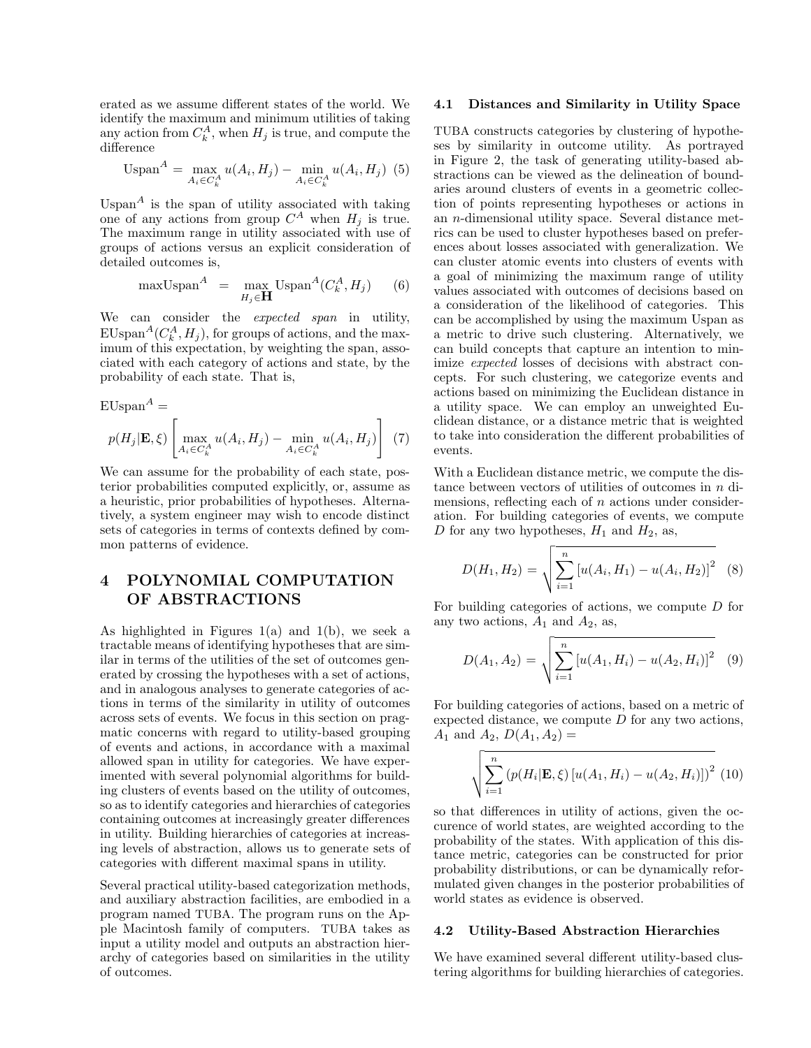erated as we assume different states of the world. We identify the maximum and minimum utilities of taking any action from  $C_k^A$ , when  $H_j$  is true, and compute the difference

$$
Uspan^{A} = \max_{A_{i} \in C_{k}^{A}} u(A_{i}, H_{j}) - \min_{A_{i} \in C_{k}^{A}} u(A_{i}, H_{j})
$$
 (5)

Uspan<sup>A</sup> is the span of utility associated with taking one of any actions from group  $C^A$  when  $H_j$  is true. The maximum range in utility associated with use of groups of actions versus an explicit consideration of detailed outcomes is,

$$
\text{maxUSpan}^A = \max_{H_j \in \mathbf{H}} \text{USpan}^A(C_k^A, H_j) \tag{6}
$$

We can consider the *expected span* in utility,  $\text{EUspan}^A(C_k^A, H_j)$ , for groups of actions, and the maximum of this expectation, by weighting the span, associated with each category of actions and state, by the probability of each state. That is,

$$
\text{EUspan}^{A} =
$$

$$
p(H_{j}|\mathbf{E}, \xi) \left[ \max_{A_{i} \in C_{k}^{A}} u(A_{i}, H_{j}) - \min_{A_{i} \in C_{k}^{A}} u(A_{i}, H_{j}) \right] (7)
$$

We can assume for the probability of each state, posterior probabilities computed explicitly, or, assume as a heuristic, prior probabilities of hypotheses. Alternatively, a system engineer may wish to encode distinct sets of categories in terms of contexts defined by common patterns of evidence.

# **4 POLYNOMIAL COMPUTATION OF ABSTRACTIONS**

As highlighted in Figures  $1(a)$  and  $1(b)$ , we seek a tractable means of identifying hypotheses that are similar in terms of the utilities of the set of outcomes generated by crossing the hypotheses with a set of actions, and in analogous analyses to generate categories of actions in terms of the similarity in utility of outcomes across sets of events. We focus in this section on pragmatic concerns with regard to utility-based grouping of events and actions, in accordance with a maximal allowed span in utility for categories. We have experimented with several polynomial algorithms for building clusters of events based on the utility of outcomes, so as to identify categories and hierarchies of categories containing outcomes at increasingly greater differences in utility. Building hierarchies of categories at increasing levels of abstraction, allows us to generate sets of categories with different maximal spans in utility.

Several practical utility-based categorization methods, and auxiliary abstraction facilities, are embodied in a program named TUBA. The program runs on the Apple Macintosh family of computers. TUBA takes as input a utility model and outputs an abstraction hierarchy of categories based on similarities in the utility of outcomes.

#### **4.1 Distances and Similarity in Utility Space**

TUBA constructs categories by clustering of hypotheses by similarity in outcome utility. As portrayed in Figure 2, the task of generating utility-based abstractions can be viewed as the delineation of boundaries around clusters of events in a geometric collection of points representing hypotheses or actions in an n-dimensional utility space. Several distance metrics can be used to cluster hypotheses based on preferences about losses associated with generalization. We can cluster atomic events into clusters of events with a goal of minimizing the maximum range of utility values associated with outcomes of decisions based on a consideration of the likelihood of categories. This can be accomplished by using the maximum Uspan as a metric to drive such clustering. Alternatively, we can build concepts that capture an intention to minimize expected losses of decisions with abstract concepts. For such clustering, we categorize events and actions based on minimizing the Euclidean distance in a utility space. We can employ an unweighted Euclidean distance, or a distance metric that is weighted to take into consideration the different probabilities of events.

With a Euclidean distance metric, we compute the distance between vectors of utilities of outcomes in  $n$  dimensions, reflecting each of  $n$  actions under consideration. For building categories of events, we compute D for any two hypotheses,  $H_1$  and  $H_2$ , as,

$$
D(H_1, H_2) = \sqrt{\sum_{i=1}^{n} [u(A_i, H_1) - u(A_i, H_2)]^2}
$$
 (8)

For building categories of actions, we compute D for any two actions,  $A_1$  and  $A_2$ , as,

$$
D(A_1, A_2) = \sqrt{\sum_{i=1}^{n} [u(A_1, H_i) - u(A_2, H_i)]^2}
$$
 (9)

For building categories of actions, based on a metric of expected distance, we compute  $D$  for any two actions,  $A_1$  and  $A_2$ ,  $D(A_1, A_2) =$ 

$$
\sqrt{\sum_{i=1}^{n} (p(H_i|\mathbf{E}, \xi) [u(A_1, H_i) - u(A_2, H_i)])^2}
$$
 (10)

so that differences in utility of actions, given the occurence of world states, are weighted according to the probability of the states. With application of this distance metric, categories can be constructed for prior probability distributions, or can be dynamically reformulated given changes in the posterior probabilities of world states as evidence is observed.

#### **4.2 Utility-Based Abstraction Hierarchies**

We have examined several different utility-based clustering algorithms for building hierarchies of categories.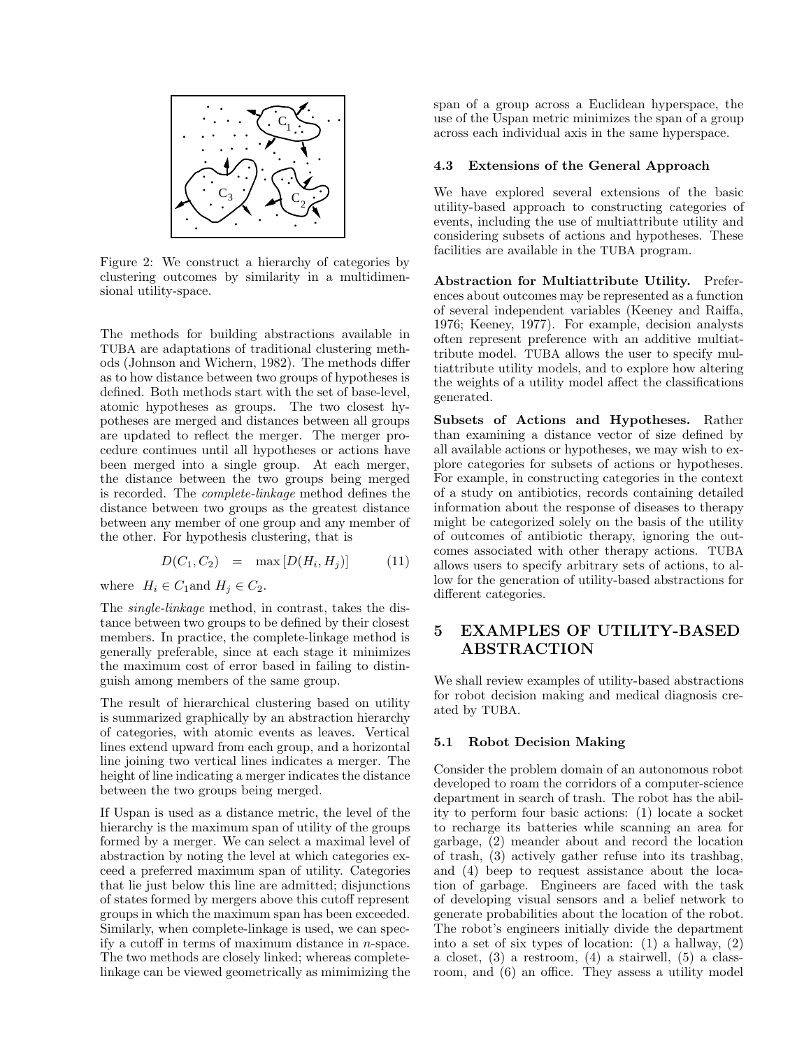

Figure 2: We construct a hierarchy of categories by clustering outcomes by similarity in a multidimensional utility-space.

The methods for building abstractions available in TUBA are adaptations of traditional clustering methods (Johnson and Wichern, 1982). The methods differ as to how distance between two groups of hypotheses is defined. Both methods start with the set of base-level, atomic hypotheses as groups. The two closest hypotheses are merged and distances between all groups are updated to reflect the merger. The merger procedure continues until all hypotheses or actions have been merged into a single group. At each merger, the distance between the two groups being merged is recorded. The complete-linkage method defines the distance between two groups as the greatest distance between any member of one group and any member of the other. For hypothesis clustering, that is

$$
D(C_1, C_2) = \max [D(H_i, H_j)] \tag{11}
$$

where  $H_i \in C_1$  and  $H_j \in C_2$ .

The single-linkage method, in contrast, takes the distance between two groups to be defined by their closest members. In practice, the complete-linkage method is generally preferable, since at each stage it minimizes the maximum cost of error based in failing to distinguish among members of the same group.

The result of hierarchical clustering based on utility is summarized graphically by an abstraction hierarchy of categories, with atomic events as leaves. Vertical lines extend upward from each group, and a horizontal line joining two vertical lines indicates a merger. The height of line indicating a merger indicates the distance between the two groups being merged.

If Uspan is used as a distance metric, the level of the hierarchy is the maximum span of utility of the groups formed by a merger. We can select a maximal level of abstraction by noting the level at which categories exceed a preferred maximum span of utility. Categories that lie just below this line are admitted; disjunctions of states formed by mergers above this cutoff represent groups in which the maximum span has been exceeded. Similarly, when complete-linkage is used, we can specify a cutoff in terms of maximum distance in n-space. The two methods are closely linked; whereas completelinkage can be viewed geometrically as mimimizing the span of a group across a Euclidean hyperspace, the use of the Uspan metric minimizes the span of a group across each individual axis in the same hyperspace.

### **4.3 Extensions of the General Approach**

We have explored several extensions of the basic utility-based approach to constructing categories of events, including the use of multiattribute utility and considering subsets of actions and hypotheses. These facilities are available in the TUBA program.

**Abstraction for Multiattribute Utility.** Preferences about outcomes may be represented as a function of several independent variables (Keeney and Raiffa, 1976; Keeney, 1977). For example, decision analysts often represent preference with an additive multiattribute model. TUBA allows the user to specify multiattribute utility models, and to explore how altering the weights of a utility model affect the classifications generated.

**Subsets of Actions and Hypotheses.** Rather than examining a distance vector of size defined by all available actions or hypotheses, we may wish to explore categories for subsets of actions or hypotheses. For example, in constructing categories in the context of a study on antibiotics, records containing detailed information about the response of diseases to therapy might be categorized solely on the basis of the utility of outcomes of antibiotic therapy, ignoring the outcomes associated with other therapy actions. TUBA allows users to specify arbitrary sets of actions, to allow for the generation of utility-based abstractions for different categories.

# **5 EXAMPLES OF UTILITY-BASED ABSTRACTION**

We shall review examples of utility-based abstractions for robot decision making and medical diagnosis created by TUBA.

### **5.1 Robot Decision Making**

Consider the problem domain of an autonomous robot developed to roam the corridors of a computer-science department in search of trash. The robot has the ability to perform four basic actions: (1) locate a socket to recharge its batteries while scanning an area for garbage, (2) meander about and record the location of trash, (3) actively gather refuse into its trashbag, and (4) beep to request assistance about the location of garbage. Engineers are faced with the task of developing visual sensors and a belief network to generate probabilities about the location of the robot. The robot's engineers initially divide the department into a set of six types of location: (1) a hallway, (2) a closet, (3) a restroom, (4) a stairwell, (5) a classroom, and (6) an office. They assess a utility model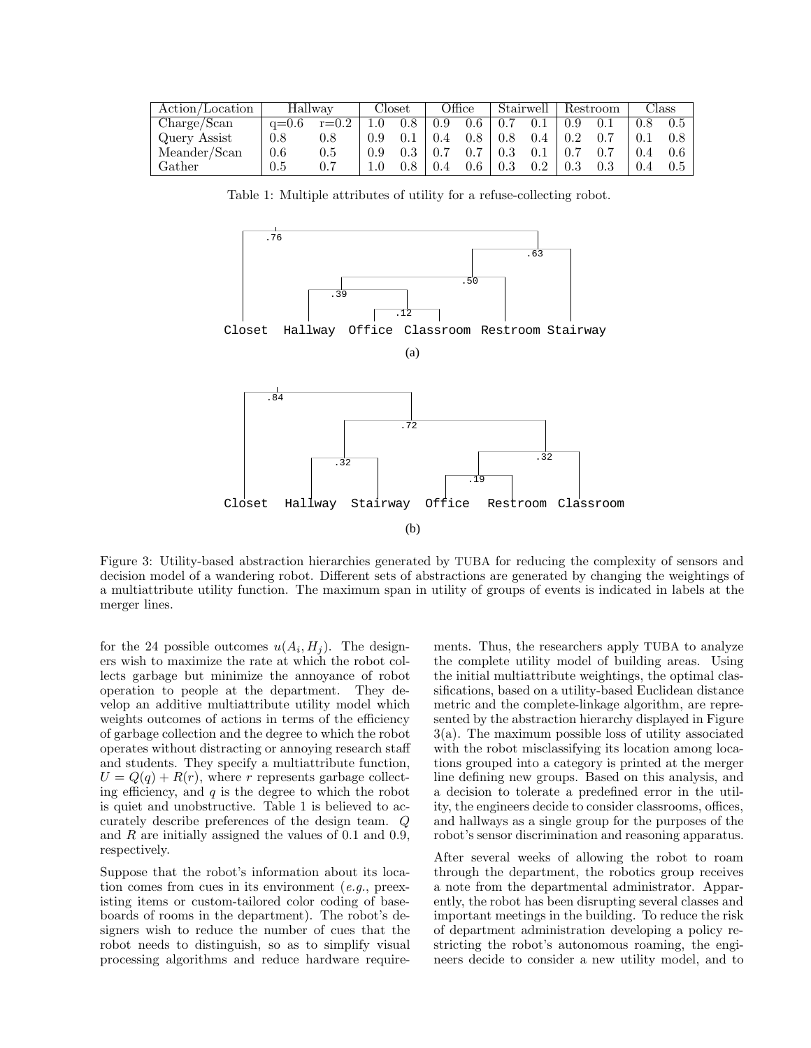| Action/Location | Hallway |           | Closet |     | Office |         | Stairwell |     | Restroom |  | Class |     |
|-----------------|---------|-----------|--------|-----|--------|---------|-----------|-----|----------|--|-------|-----|
| Charge/Scan     | $a=0.6$ | $r = 0.2$ |        | 9.8 | 0.9    | $0.6\,$ |           |     | 0.9      |  | 0.8   | 0.5 |
| Query Assist    | 0.8     | 0.8       |        |     |        |         |           | 9.4 |          |  |       |     |
| Meander/Scan    | 0.6     | $0.5\,$   |        |     |        |         |           |     |          |  |       |     |
| Gather          | 0.5     |           |        |     |        | $0.6\,$ |           |     | 0.3      |  |       | 0.5 |

Table 1: Multiple attributes of utility for a refuse-collecting robot.



Figure 3: Utility-based abstraction hierarchies generated by TUBA for reducing the complexity of sensors and decision model of a wandering robot. Different sets of abstractions are generated by changing the weightings of a multiattribute utility function. The maximum span in utility of groups of events is indicated in labels at the merger lines.

for the 24 possible outcomes  $u(A_i, H_j)$ . The designers wish to maximize the rate at which the robot collects garbage but minimize the annoyance of robot operation to people at the department. They develop an additive multiattribute utility model which weights outcomes of actions in terms of the efficiency of garbage collection and the degree to which the robot operates without distracting or annoying research staff and students. They specify a multiattribute function,  $U = Q(q) + R(r)$ , where r represents garbage collecting efficiency, and  $q$  is the degree to which the robot is quiet and unobstructive. Table 1 is believed to accurately describe preferences of the design team. Q and  $R$  are initially assigned the values of 0.1 and 0.9, respectively.

Suppose that the robot's information about its location comes from cues in its environment  $(e,q)$ , preexisting items or custom-tailored color coding of baseboards of rooms in the department). The robot's designers wish to reduce the number of cues that the robot needs to distinguish, so as to simplify visual processing algorithms and reduce hardware require-

ments. Thus, the researchers apply TUBA to analyze the complete utility model of building areas. Using the initial multiattribute weightings, the optimal classifications, based on a utility-based Euclidean distance metric and the complete-linkage algorithm, are represented by the abstraction hierarchy displayed in Figure 3(a). The maximum possible loss of utility associated with the robot misclassifying its location among locations grouped into a category is printed at the merger line defining new groups. Based on this analysis, and a decision to tolerate a predefined error in the utility, the engineers decide to consider classrooms, offices, and hallways as a single group for the purposes of the robot's sensor discrimination and reasoning apparatus.

After several weeks of allowing the robot to roam through the department, the robotics group receives a note from the departmental administrator. Apparently, the robot has been disrupting several classes and important meetings in the building. To reduce the risk of department administration developing a policy restricting the robot's autonomous roaming, the engineers decide to consider a new utility model, and to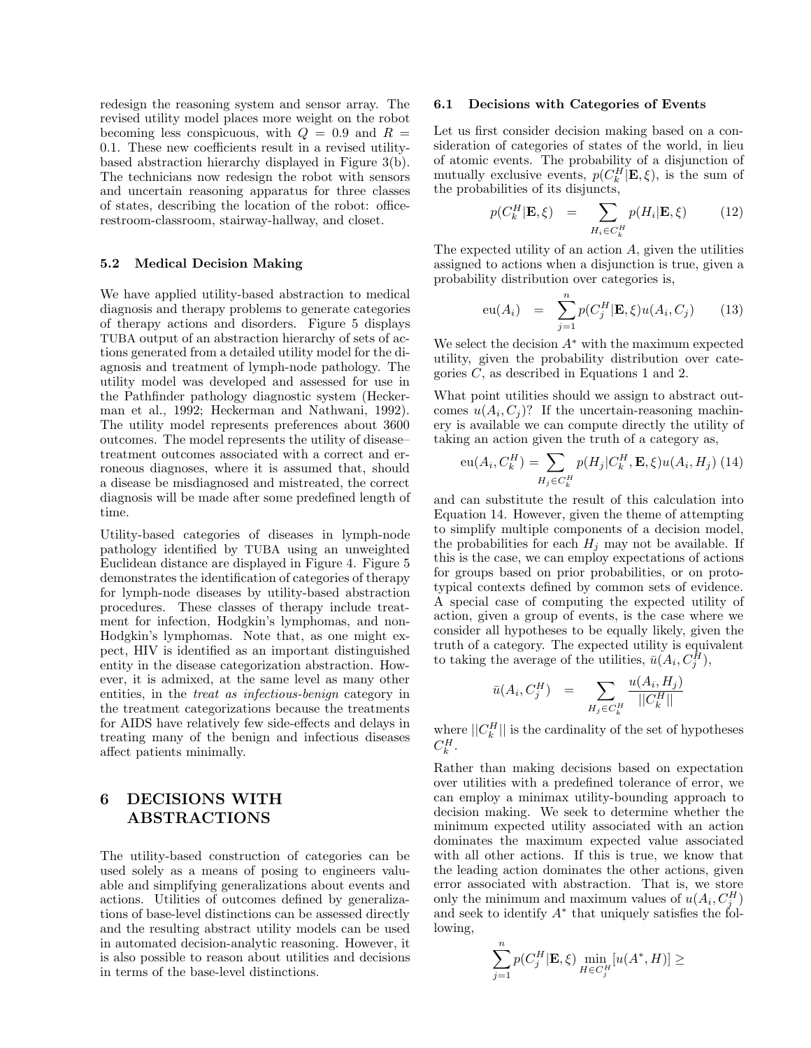redesign the reasoning system and sensor array. The revised utility model places more weight on the robot becoming less conspicuous, with  $Q = 0.9$  and  $R =$ 0.1. These new coefficients result in a revised utilitybased abstraction hierarchy displayed in Figure 3(b). The technicians now redesign the robot with sensors and uncertain reasoning apparatus for three classes of states, describing the location of the robot: officerestroom-classroom, stairway-hallway, and closet.

#### **5.2 Medical Decision Making**

We have applied utility-based abstraction to medical diagnosis and therapy problems to generate categories of therapy actions and disorders. Figure 5 displays TUBA output of an abstraction hierarchy of sets of actions generated from a detailed utility model for the diagnosis and treatment of lymph-node pathology. The utility model was developed and assessed for use in the Pathfinder pathology diagnostic system (Heckerman et al., 1992; Heckerman and Nathwani, 1992). The utility model represents preferences about 3600 outcomes. The model represents the utility of disease– treatment outcomes associated with a correct and erroneous diagnoses, where it is assumed that, should a disease be misdiagnosed and mistreated, the correct diagnosis will be made after some predefined length of time.

Utility-based categories of diseases in lymph-node pathology identified by TUBA using an unweighted Euclidean distance are displayed in Figure 4. Figure 5 demonstrates the identification of categories of therapy for lymph-node diseases by utility-based abstraction procedures. These classes of therapy include treatment for infection, Hodgkin's lymphomas, and non-Hodgkin's lymphomas. Note that, as one might expect, HIV is identified as an important distinguished entity in the disease categorization abstraction. However, it is admixed, at the same level as many other entities, in the treat as infectious-benign category in the treatment categorizations because the treatments for AIDS have relatively few side-effects and delays in treating many of the benign and infectious diseases affect patients minimally.

# **6 DECISIONS WITH ABSTRACTIONS**

The utility-based construction of categories can be used solely as a means of posing to engineers valuable and simplifying generalizations about events and actions. Utilities of outcomes defined by generalizations of base-level distinctions can be assessed directly and the resulting abstract utility models can be used in automated decision-analytic reasoning. However, it is also possible to reason about utilities and decisions in terms of the base-level distinctions.

#### **6.1 Decisions with Categories of Events**

Let us first consider decision making based on a consideration of categories of states of the world, in lieu of atomic events. The probability of a disjunction of mutually exclusive events,  $p(C_k^H | \mathbf{E}, \xi)$ , is the sum of the probabilities of its disjuncts,

$$
p(C_k^H | \mathbf{E}, \xi) = \sum_{H_i \in C_k^H} p(H_i | \mathbf{E}, \xi)
$$
 (12)

The expected utility of an action A, given the utilities assigned to actions when a disjunction is true, given a probability distribution over categories is,

$$
\mathrm{eu}(A_i) = \sum_{j=1}^n p(C_j^H | \mathbf{E}, \xi) u(A_i, C_j) \qquad (13)
$$

We select the decision  $A^*$  with the maximum expected utility, given the probability distribution over categories C, as described in Equations 1 and 2.

What point utilities should we assign to abstract outcomes  $u(A_i, C_j)$ ? If the uncertain-reasoning machinery is available we can compute directly the utility of taking an action given the truth of a category as,

$$
eu(A_i, C_k^H) = \sum_{H_j \in C_k^H} p(H_j | C_k^H, \mathbf{E}, \xi) u(A_i, H_j) (14)
$$

and can substitute the result of this calculation into Equation 14. However, given the theme of attempting to simplify multiple components of a decision model, the probabilities for each  $H_i$  may not be available. If this is the case, we can employ expectations of actions for groups based on prior probabilities, or on prototypical contexts defined by common sets of evidence. A special case of computing the expected utility of action, given a group of events, is the case where we consider all hypotheses to be equally likely, given the truth of a category. The expected utility is equivalent to taking the average of the utilities,  $\bar{u}(A_i, C_j^H)$ ,

$$
\bar{u}(A_i, C_j^H) = \sum_{H_j \in C_k^H} \frac{u(A_i, H_j)}{||C_k^H||}
$$

where  $||C_k^H||$  is the cardinality of the set of hypotheses  $C_k^H$ .

Rather than making decisions based on expectation over utilities with a predefined tolerance of error, we can employ a minimax utility-bounding approach to decision making. We seek to determine whether the minimum expected utility associated with an action dominates the maximum expected value associated with all other actions. If this is true, we know that the leading action dominates the other actions, given error associated with abstraction. That is, we store only the minimum and maximum values of  $u(A_i, C_j^H)$ and seek to identify  $A^*$  that uniquely satisfies the following,

$$
\sum_{j=1}^n p(C_j^H | \mathbf{E}, \xi) \min_{H \in C_j^H} [u(A^*, H)] \ge
$$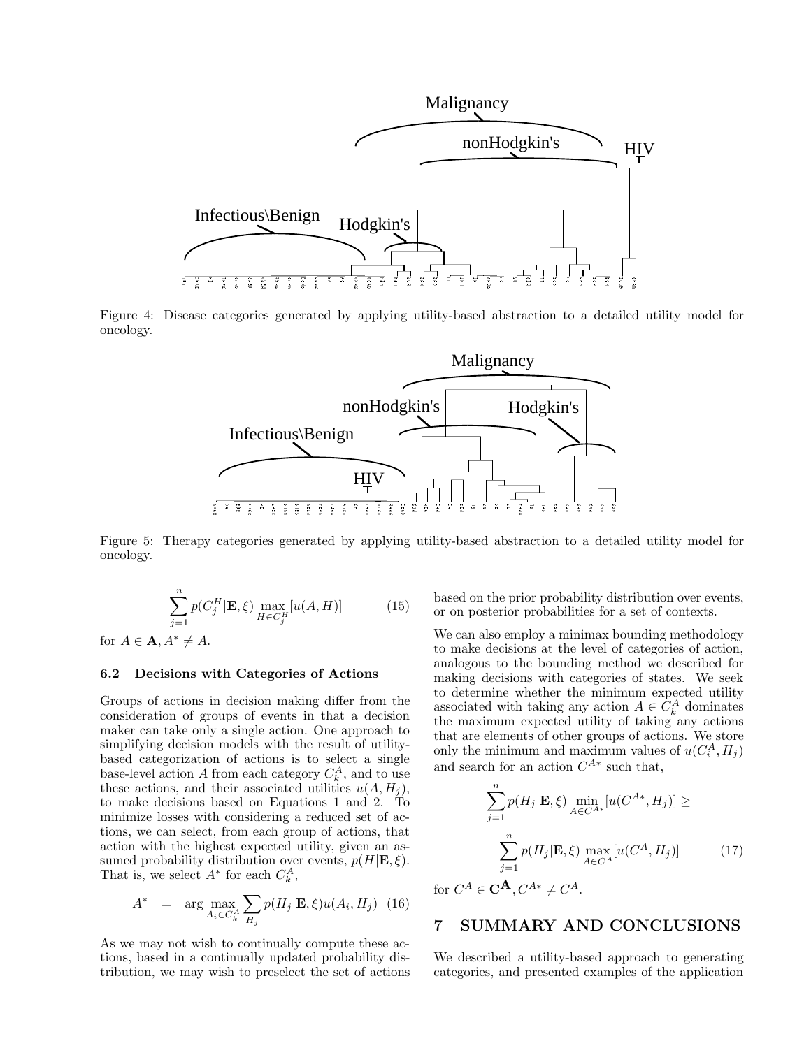

Figure 4: Disease categories generated by applying utility-based abstraction to a detailed utility model for oncology.



Figure 5: Therapy categories generated by applying utility-based abstraction to a detailed utility model for oncology.

$$
\sum_{j=1}^{n} p(C_j^H | \mathbf{E}, \xi) \max_{H \in C_j^H} [u(A, H)] \tag{15}
$$

for  $A \in \mathbf{A}$ ,  $A^* \neq A$ .

#### **6.2 Decisions with Categories of Actions**

Groups of actions in decision making differ from the consideration of groups of events in that a decision maker can take only a single action. One approach to simplifying decision models with the result of utilitybased categorization of actions is to select a single base-level action A from each category  $C_k^A$ , and to use these actions, and their associated utilities  $u(A, H_j)$ , to make decisions based on Equations 1 and 2. To minimize losses with considering a reduced set of actions, we can select, from each group of actions, that action with the highest expected utility, given an assumed probability distribution over events,  $p(H|\mathbf{E}, \xi)$ . That is, we select  $A^*$  for each  $C_k^A$ ,

$$
A^* = \arg \max_{A_i \in C_k^A} \sum_{H_j} p(H_j | \mathbf{E}, \xi) u(A_i, H_j) \tag{16}
$$

As we may not wish to continually compute these actions, based in a continually updated probability distribution, we may wish to preselect the set of actions based on the prior probability distribution over events, or on posterior probabilities for a set of contexts.

We can also employ a minimax bounding methodology to make decisions at the level of categories of action, analogous to the bounding method we described for making decisions with categories of states. We seek to determine whether the minimum expected utility associated with taking any action  $A \in C_k^A$  dominates the maximum expected utility of taking any actions that are elements of other groups of actions. We store only the minimum and maximum values of  $u(C_i^A, H_j)$ and search for an action  $C^{A*}$  such that,

$$
\sum_{j=1}^{n} p(H_j | \mathbf{E}, \xi) \min_{A \in C^{A*}} [u(C^{A*}, H_j)] \ge
$$

$$
\sum_{j=1}^{n} p(H_j | \mathbf{E}, \xi) \max_{A \in C^{A}} [u(C^{A}, H_j)] \tag{17}
$$

for  $C^A \in \mathbf{C}^{\mathbf{A}}, C^{A*} \neq C^A$ .

## **7 SUMMARY AND CONCLUSIONS**

We described a utility-based approach to generating categories, and presented examples of the application